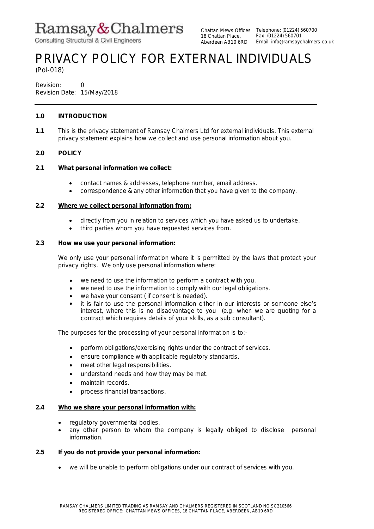# Ramsay&Chalmers

Consulting Structural & Civil Engineers

18 Chattan Place, Aberdeen AB10 6RD

# PRIVACY POLICY FOR EXTERNAL INDIVIDUALS

(Pol-018)

Revision: 0 Revision Date: 15/May/2018

# **1.0 INTRODUCTION**

**1.1** This is the privacy statement of Ramsay Chalmers Ltd for external individuals. This external privacy statement explains how we collect and use personal information about you.

# **2.0 POLICY**

- **2.1 What personal information we collect:**
	- contact names & addresses, telephone number, email address.
	- correspondence & any other information that you have given to the company.

# **2.2 Where we collect personal information from:**

- directly from you in relation to services which you have asked us to undertake.
- $\bullet$  third parties whom you have requested services from.

# **2.3 How we use your personal information:**

We only use your personal information where it is permitted by the laws that protect your privacy rights. We only use personal information where:

- we need to use the information to perform a contract with you.
- we need to use the information to comply with our legal obligations.
- we have your consent ( if consent is needed).
- it is fair to use the personal information either in our interests or someone else's  $\bullet$ interest, where this is no disadvantage to you (e.g. when we are quoting for a contract which requires details of your skills, as a sub consultant).

The purposes for the processing of your personal information is to:-

- perform obligations/exercising rights under the contract of services.
- ensure compliance with applicable regulatory standards.
- meet other legal responsibilities.
- understand needs and how they may be met.
- maintain records.
- process financial transactions.

# **2.4 Who we share your personal information with:**

- regulatory governmental bodies.
- any other person to whom the company is legally obliged to disclose personal information.

# **2.5 If you do not provide your personal information:**

we will be unable to perform obligations under our contract of services with you.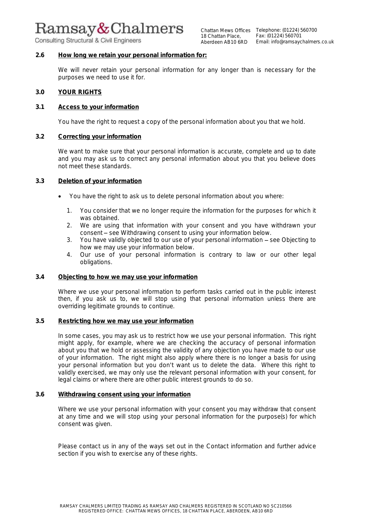# Ramsay&Chalmers

Consulting Structural & Civil Engineers

# **2.6 How long we retain your personal information for:**

We will never retain your personal information for any longer than is necessary for the purposes we need to use it for.

#### **3.0 YOUR RIGHTS**

#### **3.1 Access to your information**

You have the right to request a copy of the personal information about you that we hold.

# **3.2 Correcting your information**

We want to make sure that your personal information is accurate, complete and up to date and you may ask us to correct any personal information about you that you believe does not meet these standards.

#### **3.3 Deletion of your information**

- You have the right to ask us to delete personal information about you where:
	- 1. You consider that we no longer require the information for the purposes for which it was obtained.
	- 2. We are using that information with your consent and you have withdrawn your consent – see *Withdrawing consent to using your information below.*
	- 3. You have validly objected to our use of your personal information see *Objecting to how we may use your information* below.
	- 4. Our use of your personal information is contrary to law or our other legal obligations.

#### **3.4 Objecting to how we may use your information**

Where we use your personal information to perform tasks carried out in the public interest then, if you ask us to, we will stop using that personal information unless there are overriding legitimate grounds to continue.

# **3.5 Restricting how we may use your information**

In some cases, you may ask us to restrict how we use your personal information. This right might apply, for example, where we are checking the accuracy of personal information about you that we hold or assessing the validity of any objection you have made to our use of your information. The right might also apply where there is no longer a basis for using your personal information but you don't want us to delete the data. Where this right to validly exercised, we may only use the relevant personal information with your consent, for legal claims or where there are other public interest grounds to do so.

# **3.6 Withdrawing consent using your information**

Where we use your personal information with your consent you may withdraw that consent at any time and we will stop using your personal information for the purpose(s) for which consent was given.

Please contact us in any of the ways set out in the *Contact information and further advice* section if you wish to exercise any of these rights.